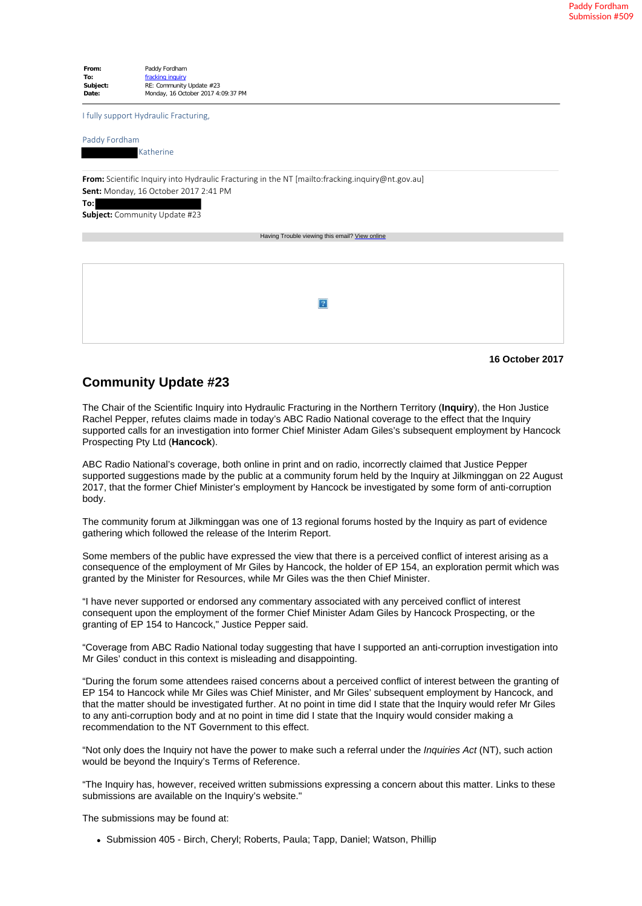**From:** Paddy Fordham **To:** fracking inquiry<br> **Subject:** RE: Community RE: Community Update #23 **Date:** Monday, 16 October 2017 4:09:37 PM I fully support Hydraulic Fracturing, Paddy Fordham Katherine **From:** Scientific Inquiry into Hydraulic Fracturing in the NT [mailto:fracking.inquiry@nt.gov.au] **Sent:** Monday, 16 October 2017 2:41 PM **To: Subject:** Community Update #23 Having Trouble viewing this email? View online  $\overline{2}$ 

## **16 October 2017**

## **Community Update #23**

The Chair of the Scientific Inquiry into Hydraulic Fracturing in the Northern Territory (**Inquiry**), the Hon Justice Rachel Pepper, refutes claims made in today's ABC Radio National coverage to the effect that the Inquiry supported calls for an investigation into former Chief Minister Adam Giles's subsequent employment by Hancock Prospecting Pty Ltd (**Hancock**).

ABC Radio National's coverage, both online in print and on radio, incorrectly claimed that Justice Pepper supported suggestions made by the public at a community forum held by the Inquiry at Jilkminggan on 22 August 2017, that the former Chief Minister's employment by Hancock be investigated by some form of anti-corruption body.

The community forum at Jilkminggan was one of 13 regional forums hosted by the Inquiry as part of evidence gathering which followed the release of the Interim Report.

Some members of the public have expressed the view that there is a perceived conflict of interest arising as a consequence of the employment of Mr Giles by Hancock, the holder of EP 154, an exploration permit which was granted by the Minister for Resources, while Mr Giles was the then Chief Minister.

"I have never supported or endorsed any commentary associated with any perceived conflict of interest consequent upon the employment of the former Chief Minister Adam Giles by Hancock Prospecting, or the granting of EP 154 to Hancock," Justice Pepper said.

"Coverage from ABC Radio National today suggesting that have I supported an anti-corruption investigation into Mr Giles' conduct in this context is misleading and disappointing.

"During the forum some attendees raised concerns about a perceived conflict of interest between the granting of EP 154 to Hancock while Mr Giles was Chief Minister, and Mr Giles' subsequent employment by Hancock, and that the matter should be investigated further. At no point in time did I state that the Inquiry would refer Mr Giles to any anti-corruption body and at no point in time did I state that the Inquiry would consider making a recommendation to the NT Government to this effect.

"Not only does the Inquiry not have the power to make such a referral under the *Inquiries Act* (NT), such action would be beyond the Inquiry's Terms of Reference.

"The Inquiry has, however, received written submissions expressing a concern about this matter. Links to these submissions are available on the Inquiry's website."

The submissions may be found at:

• Submission 405 - Birch, Cheryl; Roberts, Paula; Tapp, Daniel; Watson, Phillip